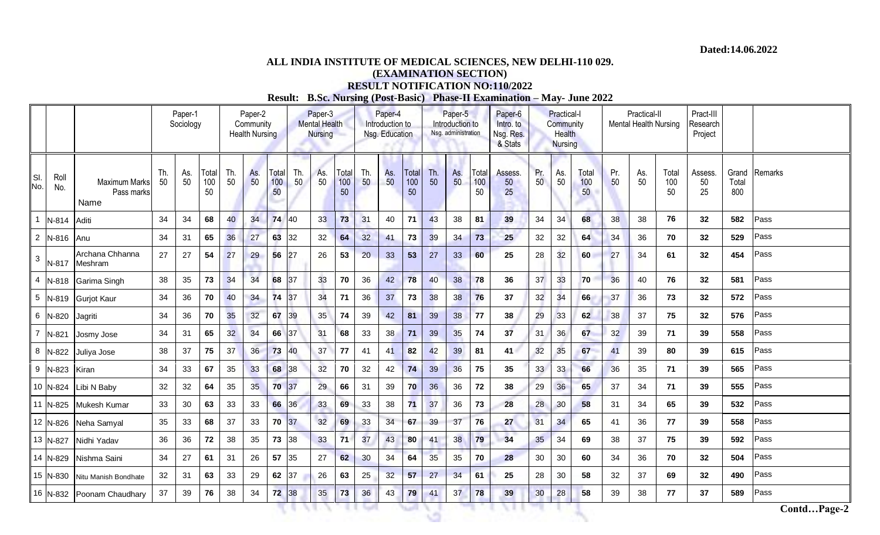## **ALL INDIA INSTITUTE OF MEDICAL SCIENCES, NEW DELHI-110 029. (EXAMINATION SECTION) RESULT NOTIFICATION NO:110/2022**

**Result: B.Sc. Nursing (Post-Basic) Phase-II Examination – May- June 2022**

|                |             |                                            |           | Paper-1<br>Sociology |                    | Paper-2<br>Community<br><b>Health Nursing</b> |           |                    |           | Paper-3<br><b>Mental Health</b><br><b>Nursing</b> |                    | Paper-4<br>Introduction to<br>Nsg. Education |                 |                    | Paper-5<br>Introduction to<br>Nsg. administration |           |                    | Paper-6<br>Intro. to<br>Nsg. Res.<br>& Stats | <b>Practical-I</b><br>Community<br><b>Health</b><br><b>Nursing</b> |           |                    | Practical-II<br>Mental Health Nursing |           |                    | Pract-III<br>Research<br>Project |                       |             |
|----------------|-------------|--------------------------------------------|-----------|----------------------|--------------------|-----------------------------------------------|-----------|--------------------|-----------|---------------------------------------------------|--------------------|----------------------------------------------|-----------------|--------------------|---------------------------------------------------|-----------|--------------------|----------------------------------------------|--------------------------------------------------------------------|-----------|--------------------|---------------------------------------|-----------|--------------------|----------------------------------|-----------------------|-------------|
| SI.<br>No.     | Roll<br>No. | <b>Maximum Marks</b><br>Pass marks<br>Name | Th.<br>50 | As.<br>50            | Total<br>100<br>50 | Th.<br>50                                     | As.<br>50 | Total<br>100<br>50 | Th.<br>50 | As.<br>50                                         | Total<br>100<br>50 | Th.<br>50                                    | As.<br>50       | Total<br>100<br>50 | Th.<br>50                                         | As.<br>50 | Total<br>100<br>50 | Assess.<br>50<br>25                          | Pr.<br>50                                                          | As.<br>50 | Total<br>100<br>50 | Pr.<br>50                             | As.<br>50 | Total<br>100<br>50 | Assess<br>50<br>25               | Grand<br>Total<br>800 | Remarks     |
|                | N-814       | Aditi                                      | 34        | 34                   | 68                 | 40                                            | 34        | 74                 | 40        | 33                                                | 73                 | 31                                           | 40              | 71                 | 43                                                | 38        | 81                 | 39                                           | 34                                                                 | 34        | 68                 | 38                                    | 38        | 76                 | 32                               | 582                   | Pass        |
|                | 2 N-816     | Anu                                        | 34        | 31                   | 65                 | 36                                            | 27        | 63                 | 32        | 32                                                | 64                 | 32                                           | 41              | 73                 | 39                                                | 34        | 73                 | 25                                           | 32                                                                 | 32        | 64                 | 34                                    | 36        | 70                 | 32                               | 529                   | Pass        |
| 3 <sup>1</sup> | N-817       | Archana Chhanna<br>Meshram                 | 27        | 27                   | 54                 | 27                                            | 29        | 56                 | 27        | 26                                                | 53                 | 20                                           | 33              | 53                 | 27                                                | 33        | 60                 | 25                                           | 28                                                                 | 32        | 60                 | 27                                    | 34        | 61                 | 32                               | 454                   | Pass        |
|                | 4 N-818     | Garima Singh                               | 38        | 35                   | 73                 | 34                                            | 34        | 68                 | 37        | 33                                                | 70                 | 36                                           | 42              | 78                 | 40                                                | 38        | 78                 | 36                                           | 37                                                                 | 33        | 70                 | 36                                    | 40        | 76                 | 32                               | 581                   | Pass        |
|                | 5 N-819     | <b>Gurjot Kaur</b>                         | 34        | 36                   | 70                 | 40                                            | 34        | 74                 | 37        | 34                                                | 71                 | 36                                           | 37              | 73                 | 38                                                | 38        | 76                 | 37                                           | 32                                                                 | 34        | 66                 | 37                                    | 36        | 73                 | 32                               | 572                   | Pass        |
|                | 6 N-820     | Jagriti                                    | 34        | 36                   | 70                 | 35                                            | 32        | 67                 | 39        | 35                                                | 74                 | 39                                           | 42              | 81                 | 39                                                | 38        | 77                 | 38                                           | 29                                                                 | 33        | 62                 | 38                                    | 37        | 75                 | 32                               | 576                   | Pass        |
| $\overline{7}$ | N-821       | Josmy Jose                                 | 34        | 31                   | 65                 | 32                                            | 34        | 66 37              |           | 31                                                | 68                 | 33                                           | 38              | 71                 | 39                                                | 35        | 74                 | 37                                           | 31                                                                 | 36        | 67                 | 32                                    | 39        | 71                 | 39                               | 558                   | Pass        |
|                | 8 N-822     | Juliya Jose                                | 38        | 37                   | 75                 | 37                                            | 36        | 73                 | 40        | 37                                                | 77                 | 41                                           | 41              | 82                 | 42                                                | 39        | 81                 | 41                                           | 32                                                                 | 35        | 67                 | 41                                    | 39        | 80                 | 39                               | 615                   | Pass        |
|                | 9 N-823     | Kiran                                      | 34        | 33                   | 67                 | 35                                            | 33        | 68                 | 38        | 32                                                | 70                 | 32                                           | 42              | 74                 | 39                                                | 36        | 75                 | 35                                           | 33                                                                 | 33        | 66                 | 36                                    | 35        | 71                 | 39                               | 565                   | Pass        |
|                | 10 N-824    | Libi N Baby                                | 32        | 32                   | 64                 | 35                                            | 35        | 70 37              |           | 29                                                | 66                 | 31                                           | 39              | 70                 | 36                                                | 36        | 72                 | 38                                           | 29                                                                 | 36        | 65                 | 37                                    | 34        | 71                 | 39                               | 555                   | Pass        |
|                | 11 N-825    | Mukesh Kumar                               | 33        | 30                   | 63                 | 33                                            | 33        | 66                 | 36        | 33                                                | 69                 | 33                                           | 38              | 71                 | 37                                                | 36        | 73                 | 28                                           | 28                                                                 | 30        | 58                 | 31                                    | 34        | 65                 | 39                               | 532                   | Pass        |
|                | 12 N-826    | Neha Samyal                                | 35        | 33                   | 68                 | 37                                            | 33        | 70                 | 37        | 32                                                | 69                 | 33                                           | 34              | 67                 | 39                                                | 37        | 76                 | 27                                           | 31                                                                 | 34        | 65                 | 41                                    | 36        | 77                 | 39                               | 558                   | Pass        |
|                | 13 N-827    | Nidhi Yadav                                | 36        | 36                   | 72                 | 38                                            | 35        | 73 38              |           | 33                                                | 71                 | 37                                           | 43              | 80                 | 41                                                | 38        | 79                 | 34                                           | 35                                                                 | 34        | 69                 | 38                                    | 37        | 75                 | 39                               | 592                   | Pass        |
|                | 14 N-829    | Nishma Saini                               | 34        | 27                   | 61                 | 31                                            | 26        | 57                 | 35        | 27                                                | 62                 | 30                                           | 34              | 64                 | 35                                                | 35        | 70                 | 28                                           | 30                                                                 | 30        | 60                 | 34                                    | 36        | 70                 | 32                               | 504                   | Pass        |
|                | 15 N-830    | Nitu Manish Bondhate                       | 32        | 31                   | 63                 | 33                                            | 29        | 62                 | 37        | 26                                                | 63                 | 25                                           | 32 <sub>2</sub> | 57                 | 27                                                | 34        | 61                 | 25                                           | 28                                                                 | 30        | 58                 | 32                                    | 37        | 69                 | 32                               | 490                   | Pass        |
|                | 16 N-832    | Poonam Chaudhary                           | 37        | 39                   | 76                 | 38                                            | 34        | 72 38              |           | 35                                                | 73                 | 36                                           | 43              | 79                 | 41                                                | 37        | 78                 | 39                                           | 30                                                                 | 28        | 58                 | 39                                    | 38        | 77                 | 37                               | 589                   | Pass        |
|                |             |                                            |           |                      |                    |                                               |           |                    |           |                                                   |                    |                                              |                 |                    |                                                   |           |                    |                                              |                                                                    |           |                    |                                       |           |                    |                                  |                       | ContdPage-2 |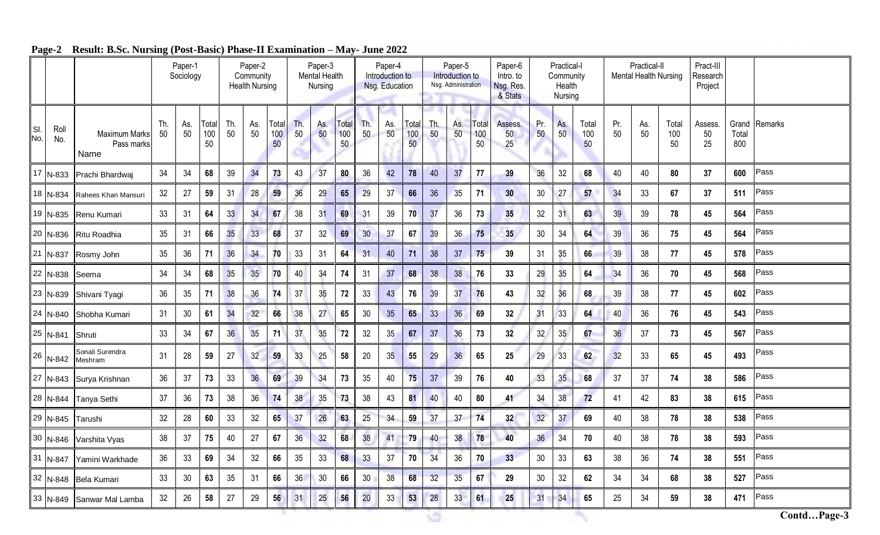|            |             |                                            |           | Paper-1<br>Sociology |                    | Paper-2<br>Community<br><b>Health Nursing</b> |           |                    | Paper-3<br><b>Mental Health</b><br>Nursing |                 |                    | Paper-4<br>Introduction to<br>Nsg. Education |                 |                                 | Paper-5<br>Introduction to<br>Nsg. Administration |           |                                 | Paper-6<br>Intro. to<br>Nsg. Res.<br>& Stats | Practical-I<br>Community<br>Health<br><b>Nursing</b> |           |                    |           | Practical-II<br>Mental Health Nursing |                    | Pract-III<br>Research<br>Project |              |               |
|------------|-------------|--------------------------------------------|-----------|----------------------|--------------------|-----------------------------------------------|-----------|--------------------|--------------------------------------------|-----------------|--------------------|----------------------------------------------|-----------------|---------------------------------|---------------------------------------------------|-----------|---------------------------------|----------------------------------------------|------------------------------------------------------|-----------|--------------------|-----------|---------------------------------------|--------------------|----------------------------------|--------------|---------------|
| SI.<br>No. | Roll<br>No. | <b>Maximum Marks</b><br>Pass marks<br>Name | Th.<br>50 | As.<br>50            | Total<br>100<br>50 | Th.<br>50                                     | As.<br>50 | Total<br>100<br>50 | Th.<br>50                                  | As.<br>50       | Total<br>100<br>50 | Th.<br>50                                    | As.<br>50       | Гоtal<br>100<br>50 <sup>°</sup> | Th.<br>50                                         | As.<br>50 | Total<br>100<br>50 <sup>°</sup> | Assess.<br>50<br>25                          | Pr.<br>50                                            | As.<br>50 | Total<br>100<br>50 | Pr.<br>50 | As.<br>50                             | Total<br>100<br>50 | Assess.<br>50<br>25              | Total<br>800 | Grand Remarks |
|            | $17$ N-833  | Prachi Bhardwaj                            | 34        | 34                   | 68                 | 39                                            | 34        | 73                 | 43                                         | 37              | 80                 | 36                                           | 42              | 78                              | 40                                                | 37        | 77                              | 39                                           | 36                                                   | 32        | 68                 | 40        | 40                                    | 80                 | 37                               | 600          | Pass          |
|            | 18 N-834    | Rahees Khan Mansuri                        | 32        | 27                   | 59                 | 31                                            | 28        | 59                 | 36                                         | 29              | 65                 | 29                                           | 37              | 66                              | 36                                                | 35        | 71                              | 30                                           | 30 <sub>o</sub>                                      | 27        | 57                 | 34        | 33                                    | 67                 | 37                               | 511          | Pass          |
|            | 19 N-835    | Renu Kumari                                | 33        | 31                   | 64                 | 33                                            | 34        | 67                 | 38                                         | 31              | 69                 | 31                                           | 39              | 70                              | 37                                                | 36        | 73                              | 35                                           | 32                                                   | 31        | 63                 | 39        | 39                                    | 78                 | 45                               | 564          | Pass          |
|            | 20 N-836    | Ritu Roadhia                               | 35        | 31                   | 66                 | 35                                            | 33        | 68                 | 37                                         | 32              | 69                 | 30                                           | 37              | 67                              | 39                                                | 36        | 75                              | 35                                           | $30\,$                                               | 34        | 64                 | 39        | 36                                    | 75                 | 45                               | 564          | Pass          |
|            | 21 N-837    | Rosmy John                                 | 35        | 36                   | 71                 | 36                                            | 34        | 70                 | 33                                         | 31              | 64                 | 31                                           | 40              | 71                              | 38                                                | 37        | 75                              | 39                                           | 31                                                   | 35        | 66                 | 39        | 38                                    | 77                 | 45                               | 578          | Pass          |
| 22         | N-838       | Seema                                      | 34        | 34                   | 68                 | 35                                            | 35        | 70                 | 40                                         | 34              | 74                 | 31                                           | 37              | 68                              | 38                                                | 38        | 76                              | 33                                           | 29                                                   | 35        | 64                 | 34        | 36                                    | 70                 | 45                               | 568          | Pass          |
|            | 23 N-839    | Shivani Tyagi                              | 36        | 35                   | 71                 | 38                                            | 36        | 74                 | 37                                         | 35              | 72                 | 33                                           | 43              | 76                              | 39                                                | 37        | 76                              | 43                                           | 32                                                   | 36        | 68                 | 39        | 38                                    | 77                 | 45                               | 602          | Pass          |
|            | 24 N-840    | Shobha Kumari                              | 31        | 30                   | 61                 | 34                                            | 32        | 66                 | 38                                         | 27              | 65                 | 30                                           | 35              | 65                              | 33                                                | 36        | 69                              | 32                                           | 31                                                   | 33        | 64                 | 40        | 36                                    | 76                 | 45                               | 543          | Pass          |
|            | 25 N-841    | Shruti                                     | 33        | 34                   | 67                 | 36                                            | 35        | 71                 | 37                                         | 35              | 72                 | 32                                           | 35              | 67                              | 37                                                | 36        | 73                              | 32                                           | 32                                                   | 35        | 67                 | 36        | 37                                    | 73                 | 45                               | 567          | Pass          |
| 26         | N-842       | Sonali Surendra<br>Meshram                 | 31        | 28                   | 59                 | 27                                            | 32        | 59                 | 33                                         | 25              | 58                 | 20                                           | 35              | 55                              | 29                                                | 36        | 65                              | 25                                           | 29                                                   | 33        | 62                 | 32        | 33                                    | 65                 | 45                               | 493          | Pass          |
|            | 27 N-843    | Surya Krishnan                             | 36        | 37                   | 73                 | 33                                            | 36        | 69                 | 39                                         | 34              | 73                 | 35                                           | 40              | 75                              | 37                                                | 39        | 76                              | 40                                           | 33                                                   | 35        | 68                 | 37        | 37                                    | 74                 | 38                               | 586          | Pass          |
|            | 28 N-844    | Tanya Sethi                                | 37        | 36                   | 73                 | 38                                            | 36        | 74                 | 38                                         | 35 <sub>5</sub> | 73                 | 38                                           | 43              | 81                              | 40                                                | 40        | 80                              | 41                                           | 34                                                   | 38        | 72                 | 41        | 42                                    | 83                 | 38                               | 615          | Pass          |
|            | 29 N-845    | Tarushi                                    | 32        | 28                   | 60                 | 33                                            | 32        | 65                 | 37                                         | 26              | 63                 | 25                                           | 34              | 59                              | 37                                                | 37        | 74                              | 32                                           | 32                                                   | 37        | 69                 | 40        | 38                                    | 78                 | 38                               | 538          | Pass          |
|            | 30 N-846    | Varshita Vyas                              | 38        | 37                   | 75                 | 40                                            | 27        | 67                 | 36                                         | 32              | 68                 | 38                                           | 41              | 79                              | 40                                                | 38        | 78                              | 40                                           | 36                                                   | 34        | 70                 | 40        | 38                                    | 78                 | 38                               | 593          | Pass          |
|            | 31 N-847    | Yamini Warkhade                            | 36        | 33                   | 69                 | 34                                            | 32        | 66                 | 35                                         | 33              | 68                 | 33                                           | 37              | 70                              | 34                                                | 36        | 70                              | 33                                           | 30                                                   | 33        | 63                 | 38        | 36                                    | 74                 | 38                               | 551          | Pass          |
|            | 32 N-848    | Bela Kumari                                | 33        | 30                   | 63                 | 35                                            | 31        | 66                 | 36                                         | 30              | 66                 | 30                                           | 38              | 68                              | 32                                                | 35        | 67                              | 29                                           | 30                                                   | 32        | 62                 | 34        | 34                                    | 68                 | 38                               | 527          | Pass          |
|            |             | 33 N-849 Sanwar Mal Lamba                  | 32        | 26                   | 58                 | 27                                            | 29        | 56                 | 31                                         | 25              | 56                 | $20\,$                                       | 33 <sup>°</sup> | 53                              | 28                                                | 33        | 61                              | 25                                           | 31                                                   | 34        | 65                 | 25        | 34                                    | 59                 | 38                               | 471          | Pass          |

G

## **Page-2 Result: B.Sc. Nursing (Post-Basic) Phase-II Examination – May- June 2022**

×.

*Contd...Page-3*